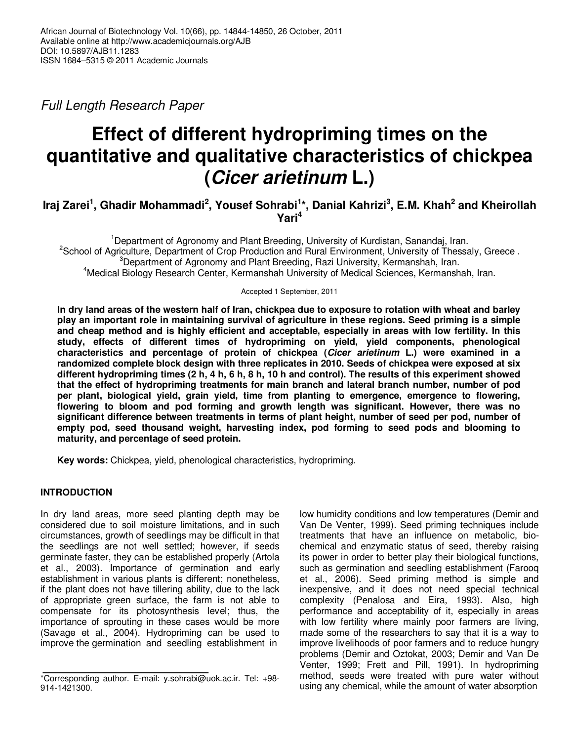Full Length Research Paper

# **Effect of different hydropriming times on the quantitative and qualitative characteristics of chickpea (Cicer arietinum L.)**

# **Iraj Zarei<sup>1</sup> , Ghadir Mohammadi<sup>2</sup> , Yousef Sohrabi<sup>1</sup> \*, Danial Kahrizi<sup>3</sup> , E.M. Khah<sup>2</sup> and Kheirollah Yari<sup>4</sup>**

<sup>1</sup>Department of Agronomy and Plant Breeding, University of Kurdistan, Sanandaj, Iran. <sup>2</sup>School of Agriculture, Department of Crop Production and Rural Environment, University of Thessaly, Greece. <sup>3</sup>Department of Agronomy and Plant Breeding, Razi University, Kermanshah, Iran. <sup>4</sup>Medical Biology Research Center, Kermanshah University of Medical Sciences, Kermanshah, Iran.

Accepted 1 September, 2011

**In dry land areas of the western half of Iran, chickpea due to exposure to rotation with wheat and barley play an important role in maintaining survival of agriculture in these regions. Seed priming is a simple and cheap method and is highly efficient and acceptable, especially in areas with low fertility. In this study, effects of different times of hydropriming on yield, yield components, phenological characteristics and percentage of protein of chickpea (Cicer arietinum L.) were examined in a randomized complete block design with three replicates in 2010. Seeds of chickpea were exposed at six different hydropriming times (2 h, 4 h, 6 h, 8 h, 10 h and control). The results of this experiment showed that the effect of hydropriming treatments for main branch and lateral branch number, number of pod per plant, biological yield, grain yield, time from planting to emergence, emergence to flowering, flowering to bloom and pod forming and growth length was significant. However, there was no significant difference between treatments in terms of plant height, number of seed per pod, number of empty pod, seed thousand weight, harvesting index, pod forming to seed pods and blooming to maturity, and percentage of seed protein.** 

**Key words:** Chickpea, yield, phenological characteristics, hydropriming.

# **INTRODUCTION**

In dry land areas, more seed planting depth may be considered due to soil moisture limitations, and in such circumstances, growth of seedlings may be difficult in that the seedlings are not well settled; however, if seeds germinate faster, they can be established properly (Artola et al., 2003). Importance of germination and early establishment in various plants is different; nonetheless, if the plant does not have tillering ability, due to the lack of appropriate green surface, the farm is not able to compensate for its photosynthesis level; thus, the importance of sprouting in these cases would be more (Savage et al., 2004). Hydropriming can be used to improve the germination and seedling establishment in

low humidity conditions and low temperatures (Demir and Van De Venter, 1999). Seed priming techniques include treatments that have an influence on metabolic, biochemical and enzymatic status of seed, thereby raising its power in order to better play their biological functions, such as germination and seedling establishment (Faroog et al., 2006). Seed priming method is simple and inexpensive, and it does not need special technical complexity (Penalosa and Eira, 1993). Also, high performance and acceptability of it, especially in areas with low fertility where mainly poor farmers are living, made some of the researchers to say that it is a way to improve livelihoods of poor farmers and to reduce hungry problems (Demir and Oztokat, 2003; Demir and Van De Venter, 1999; Frett and Pill, 1991). In hydropriming method, seeds were treated with pure water without using any chemical, while the amount of water absorption

<sup>\*</sup>Corresponding author. E-mail: y.sohrabi@uok.ac.ir. Tel: +98- 914-1421300.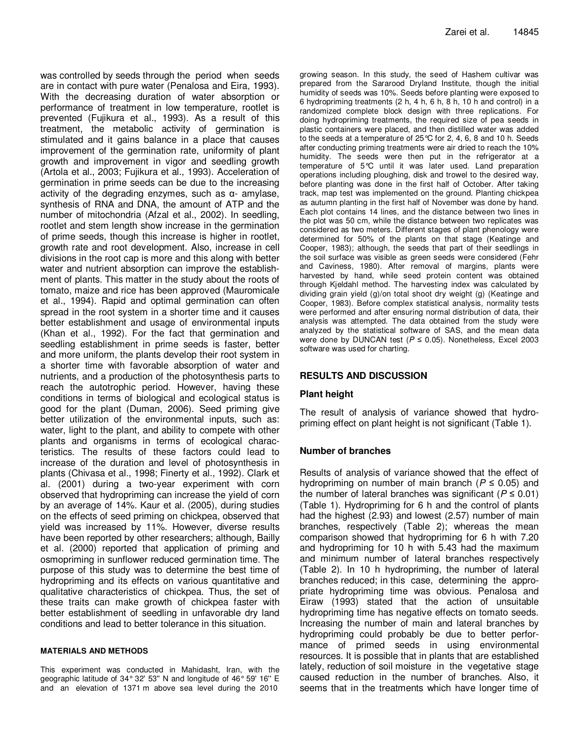was controlled by seeds through the period when seeds are in contact with pure water (Penalosa and Eira, 1993). With the decreasing duration of water absorption or performance of treatment in low temperature, rootlet is prevented (Fujikura et al., 1993). As a result of this treatment, the metabolic activity of germination is stimulated and it gains balance in a place that causes improvement of the germination rate, uniformity of plant growth and improvement in vigor and seedling growth (Artola et al., 2003; Fujikura et al., 1993). Acceleration of germination in prime seeds can be due to the increasing activity of the degrading enzymes, such as  $\alpha$ - amylase, synthesis of RNA and DNA, the amount of ATP and the number of mitochondria (Afzal et al., 2002). In seedling, rootlet and stem length show increase in the germination of prime seeds, though this increase is higher in rootlet, growth rate and root development. Also, increase in cell divisions in the root cap is more and this along with better water and nutrient absorption can improve the establishment of plants. This matter in the study about the roots of tomato, maize and rice has been approved (Mauromicale et al., 1994). Rapid and optimal germination can often spread in the root system in a shorter time and it causes better establishment and usage of environmental inputs (Khan et al., 1992). For the fact that germination and seedling establishment in prime seeds is faster, better and more uniform, the plants develop their root system in a shorter time with favorable absorption of water and nutrients, and a production of the photosynthesis parts to reach the autotrophic period. However, having these conditions in terms of biological and ecological status is good for the plant (Duman, 2006). Seed priming give better utilization of the environmental inputs, such as: water, light to the plant, and ability to compete with other plants and organisms in terms of ecological characteristics. The results of these factors could lead to increase of the duration and level of photosynthesis in plants (Chivasa et al., 1998; Finerty et al., 1992). Clark et al. (2001) during a two-year experiment with corn observed that hydropriming can increase the yield of corn by an average of 14%. Kaur et al. (2005), during studies on the effects of seed priming on chickpea, observed that yield was increased by 11%. However, diverse results have been reported by other researchers; although, Bailly et al. (2000) reported that application of priming and osmopriming in sunflower reduced germination time. The purpose of this study was to determine the best time of hydropriming and its effects on various quantitative and qualitative characteristics of chickpea. Thus, the set of these traits can make growth of chickpea faster with better establishment of seedling in unfavorable dry land conditions and lead to better tolerance in this situation.

#### **MATERIALS AND METHODS**

This experiment was conducted in Mahidasht, Iran, with the geographic latitude of 34° 32' 53'' N and longitude of 46° 59' 16'' E and an elevation of 1371 m above sea level during the 2010

growing season. In this study, the seed of Hashem cultivar was prepared from the Sararood Dryland Institute, though the initial humidity of seeds was 10%. Seeds before planting were exposed to 6 hydropriming treatments (2 h, 4 h, 6 h, 8 h, 10 h and control) in a randomized complete block design with three replications. For doing hydropriming treatments, the required size of pea seeds in plastic containers were placed, and then distilled water was added to the seeds at a temperature of 25°C for 2, 4, 6, 8 and 10 h. Seeds after conducting priming treatments were air dried to reach the 10% humidity. The seeds were then put in the refrigerator at a temperature of 5°C until it was later used. Land preparation operations including ploughing, disk and trowel to the desired way, before planting was done in the first half of October. After taking track, map test was implemented on the ground. Planting chickpea as autumn planting in the first half of November was done by hand. Each plot contains 14 lines, and the distance between two lines in the plot was 50 cm, while the distance between two replicates was considered as two meters. Different stages of plant phenology were determined for 50% of the plants on that stage (Keatinge and Cooper, 1983); although, the seeds that part of their seedlings in the soil surface was visible as green seeds were considered (Fehr and Caviness, 1980). After removal of margins, plants were harvested by hand, while seed protein content was obtained through Kjeldahl method. The harvesting index was calculated by dividing grain yield (g)/on total shoot dry weight (g) (Keatinge and Cooper, 1983). Before complex statistical analysis, normality tests were performed and after ensuring normal distribution of data, their analysis was attempted. The data obtained from the study were analyzed by the statistical software of SAS, and the mean data were done by DUNCAN test ( $P \le 0.05$ ). Nonetheless, Excel 2003 software was used for charting.

#### **RESULTS AND DISCUSSION**

#### **Plant height**

The result of analysis of variance showed that hydropriming effect on plant height is not significant (Table 1).

#### **Number of branches**

Results of analysis of variance showed that the effect of hydropriming on number of main branch ( $P \le 0.05$ ) and the number of lateral branches was significant ( $P \le 0.01$ ) (Table 1). Hydropriming for 6 h and the control of plants had the highest (2.93) and lowest (2.57) number of main branches, respectively (Table 2); whereas the mean comparison showed that hydropriming for 6 h with 7.20 and hydropriming for 10 h with 5.43 had the maximum and minimum number of lateral branches respectively (Table 2). In 10 h hydropriming, the number of lateral branches reduced; in this case, determining the appropriate hydropriming time was obvious. Penalosa and Eiraw (1993) stated that the action of unsuitable hydropriming time has negative effects on tomato seeds. Increasing the number of main and lateral branches by hydropriming could probably be due to better performance of primed seeds in using environmental resources. It is possible that in plants that are established lately, reduction of soil moisture in the vegetative stage caused reduction in the number of branches. Also, it seems that in the treatments which have longer time of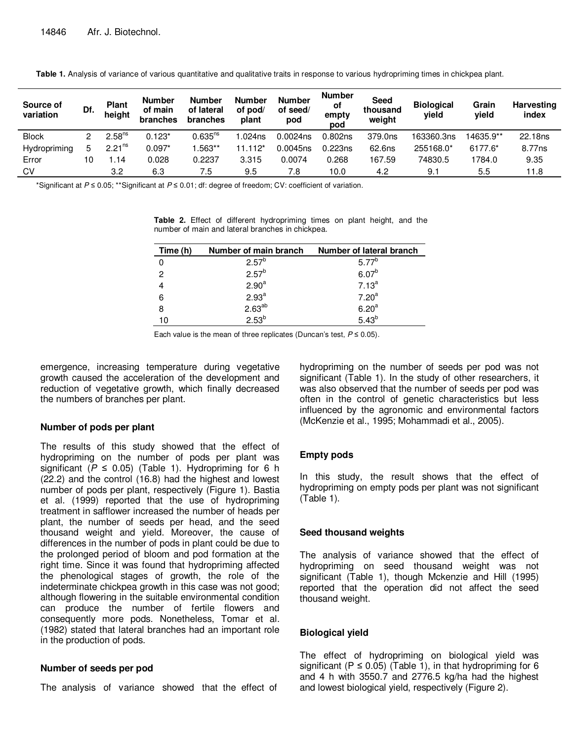| Source of<br>variation | Df.         | <b>Plant</b><br>height | <b>Number</b><br>of main<br>branches | <b>Number</b><br>of lateral<br>branches | <b>Number</b><br>of pod/<br>plant | <b>Number</b><br>of seed/<br>pod | <b>Number</b><br>οf<br>empty<br>pod | <b>Seed</b><br>thousand<br>weight | <b>Biological</b><br>vield | Grain<br>yield | <b>Harvesting</b><br>index |
|------------------------|-------------|------------------------|--------------------------------------|-----------------------------------------|-----------------------------------|----------------------------------|-------------------------------------|-----------------------------------|----------------------------|----------------|----------------------------|
| <b>Block</b>           |             | 2.58 <sup>ns</sup>     | $0.123*$                             | $0.635^{ns}$                            | .024ns                            | $0.0024$ ns                      | 0.802ns                             | 379.0ns                           | 163360.3ns                 | 14635.9**      | 22.18 <sub>ns</sub>        |
| Hydropriming           | $\mathbf b$ | 2.21 <sup>ns</sup>     | $0.097*$                             | .563**                                  | $112^*$                           | 0.0045ns                         | 0.223ns                             | 62.6ns                            | 255168.0*                  | 6177.6*        | 8.77 <sub>ns</sub>         |
| Error                  | 10          | .14                    | 0.028                                | 0.2237                                  | 3.315                             | 0.0074                           | 0.268                               | 167.59                            | 74830.5                    | 1784.0         | 9.35                       |
| CV                     |             | 3.2                    | 6.3                                  | 7.5                                     | 9.5                               | 7.8                              | 10.0                                | 4.2                               | 9.1                        | 5.5            | 11.8                       |

Table 1. Analysis of variance of various quantitative and qualitative traits in response to various hydropriming times in chickpea plant.

\*Significant at P ≤ 0.05; \*\*Significant at P ≤ 0.01; df: degree of freedom; CV: coefficient of variation.

**Table 2.** Effect of different hydropriming times on plant height, and the number of main and lateral branches in chickpea.

| Time (h) | Number of main branch | Number of lateral branch |
|----------|-----------------------|--------------------------|
|          | $2.57^{b}$            | $5.77^{b}$               |
| 2        | $2.57^{b}$            | $6.07^{b}$               |
|          | 2.90 <sup>a</sup>     | $7.13^{a}$               |
| 6        | 2.93 <sup>a</sup>     | 7.20 <sup>a</sup>        |
| 8        | $2.63^{ab}$           | 6.20 <sup>a</sup>        |
| 10       | $2.53^{b}$            | $5.43^{b}$               |

Each value is the mean of three replicates (Duncan's test,  $P \le 0.05$ ).

emergence, increasing temperature during vegetative growth caused the acceleration of the development and reduction of vegetative growth, which finally decreased the numbers of branches per plant.

# **Number of pods per plant**

The results of this study showed that the effect of hydropriming on the number of pods per plant was significant ( $P \le 0.05$ ) (Table 1). Hydropriming for 6 h (22.2) and the control (16.8) had the highest and lowest number of pods per plant, respectively (Figure 1). Bastia et al. (1999) reported that the use of hydropriming treatment in safflower increased the number of heads per plant, the number of seeds per head, and the seed thousand weight and yield. Moreover, the cause of differences in the number of pods in plant could be due to the prolonged period of bloom and pod formation at the right time. Since it was found that hydropriming affected the phenological stages of growth, the role of the indeterminate chickpea growth in this case was not good; although flowering in the suitable environmental condition can produce the number of fertile flowers and consequently more pods. Nonetheless, Tomar et al. (1982) stated that lateral branches had an important role in the production of pods.

# **Number of seeds per pod**

The analysis of variance showed that the effect of

hydropriming on the number of seeds per pod was not significant (Table 1). In the study of other researchers, it was also observed that the number of seeds per pod was often in the control of genetic characteristics but less influenced by the agronomic and environmental factors (McKenzie et al., 1995; Mohammadi et al., 2005).

# **Empty pods**

In this study, the result shows that the effect of hydropriming on empty pods per plant was not significant (Table 1).

# **Seed thousand weights**

The analysis of variance showed that the effect of hydropriming on seed thousand weight was not significant (Table 1), though Mckenzie and Hill (1995) reported that the operation did not affect the seed thousand weight.

# **Biological yield**

The effect of hydropriming on biological yield was significant ( $P \le 0.05$ ) (Table 1), in that hydropriming for 6 and 4 h with 3550.7 and 2776.5 kg/ha had the highest and lowest biological yield, respectively (Figure 2).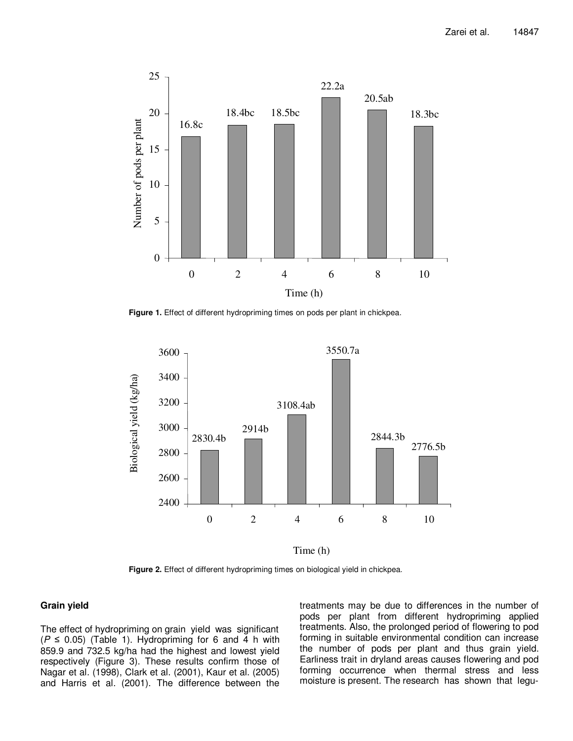

**Figure 1.** Effect of different hydropriming times on pods per plant in chickpea.



Time (h)

**Figure 2.** Effect of different hydropriming times on biological yield in chickpea.

#### **Grain yield**

The effect of hydropriming on grain yield was significant  $(P \le 0.05)$  (Table 1). Hydropriming for 6 and 4 h with 859.9 and 732.5 kg/ha had the highest and lowest yield respectively (Figure 3). These results confirm those of Nagar et al. (1998), Clark et al. (2001), Kaur et al. (2005) and Harris et al. (2001). The difference between the treatments may be due to differences in the number of pods per plant from different hydropriming applied treatments. Also, the prolonged period of flowering to pod forming in suitable environmental condition can increase the number of pods per plant and thus grain yield. Earliness trait in dryland areas causes flowering and pod forming occurrence when thermal stress and less moisture is present. The research has shown that legu-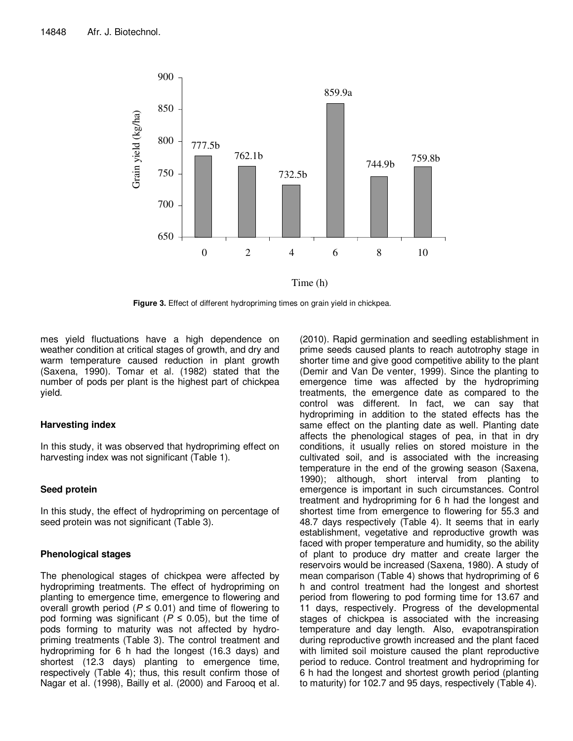

**Figure 3.** Effect of different hydropriming times on grain yield in chickpea.

mes yield fluctuations have a high dependence on weather condition at critical stages of growth, and dry and warm temperature caused reduction in plant growth (Saxena, 1990). Tomar et al. (1982) stated that the number of pods per plant is the highest part of chickpea yield.

# **Harvesting index**

In this study, it was observed that hydropriming effect on harvesting index was not significant (Table 1).

# **Seed protein**

In this study, the effect of hydropriming on percentage of seed protein was not significant (Table 3).

# **Phenological stages**

The phenological stages of chickpea were affected by hydropriming treatments. The effect of hydropriming on planting to emergence time, emergence to flowering and overall growth period ( $P \le 0.01$ ) and time of flowering to pod forming was significant ( $P \le 0.05$ ), but the time of pods forming to maturity was not affected by hydropriming treatments (Table 3). The control treatment and hydropriming for 6 h had the longest (16.3 days) and shortest (12.3 days) planting to emergence time, respectively (Table 4); thus, this result confirm those of Nagar et al. (1998), Bailly et al. (2000) and Farooq et al.

(2010). Rapid germination and seedling establishment in prime seeds caused plants to reach autotrophy stage in shorter time and give good competitive ability to the plant (Demir and Van De venter, 1999). Since the planting to emergence time was affected by the hydropriming treatments, the emergence date as compared to the control was different. In fact, we can say that hydropriming in addition to the stated effects has the same effect on the planting date as well. Planting date affects the phenological stages of pea, in that in dry conditions, it usually relies on stored moisture in the cultivated soil, and is associated with the increasing temperature in the end of the growing season (Saxena, 1990); although, short interval from planting to emergence is important in such circumstances. Control treatment and hydropriming for 6 h had the longest and shortest time from emergence to flowering for 55.3 and 48.7 days respectively (Table 4). It seems that in early establishment, vegetative and reproductive growth was faced with proper temperature and humidity, so the ability of plant to produce dry matter and create larger the reservoirs would be increased (Saxena, 1980). A study of mean comparison (Table 4) shows that hydropriming of 6 h and control treatment had the longest and shortest period from flowering to pod forming time for 13.67 and 11 days, respectively. Progress of the developmental stages of chickpea is associated with the increasing temperature and day length. Also, evapotranspiration during reproductive growth increased and the plant faced with limited soil moisture caused the plant reproductive period to reduce. Control treatment and hydropriming for 6 h had the longest and shortest growth period (planting to maturity) for 102.7 and 95 days, respectively (Table 4).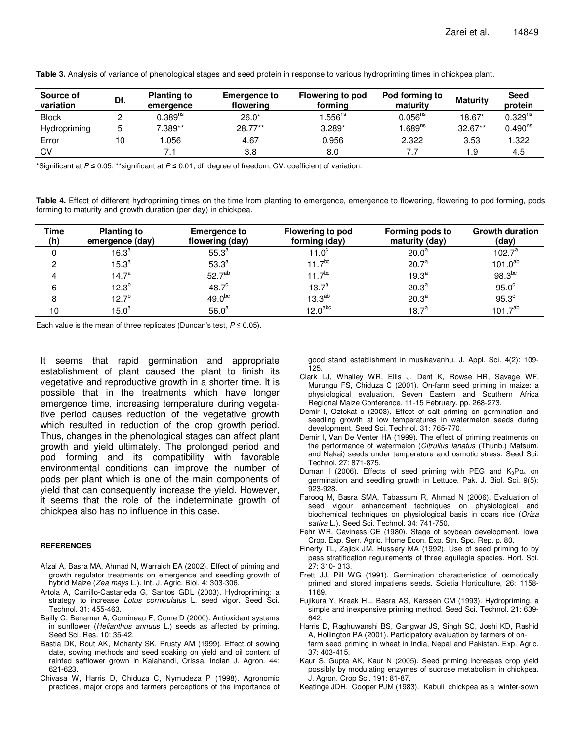| Source of<br>variation | Df. | <b>Planting to</b><br>emergence | <b>Emergence to</b><br>flowering | Flowering to pod<br>formina | Pod forming to<br>maturity | <b>Maturity</b> | Seed<br>protein |
|------------------------|-----|---------------------------------|----------------------------------|-----------------------------|----------------------------|-----------------|-----------------|
| <b>Block</b>           |     | $0.389$ <sup>ns</sup>           | $26.0*$                          | $.556$ <sup>ns</sup>        | $0.056^{ns}$               | 18.67*          | $0.329^{ns}$    |
| Hydropriming           | 5   | 7.389**                         | 28.77**                          | $3.289*$                    | .689 <sup>ns</sup>         | $32.67**$       | $0.490^{ns}$    |
| Error                  | 10  | .056                            | 4.67                             | 0.956                       | 2.322                      | 3.53            | .322            |
| <b>CV</b>              |     |                                 | 3.8                              | 8.0                         |                            | و.،             | 4.5             |

**Table 3.** Analysis of variance of phenological stages and seed protein in response to various hydropriming times in chickpea plant.

\*Significant at  $P \le 0.05$ ; \*\*significant at  $P \le 0.01$ ; df: degree of freedom; CV: coefficient of variation.

**Table 4.** Effect of different hydropriming times on the time from planting to emergence, emergence to flowering, flowering to pod forming, pods forming to maturity and growth duration (per day) in chickpea.

| Time<br>(h) | <b>Planting to</b><br>emergence (day) | <b>Emergence to</b><br>flowering (day) | <b>Flowering to pod</b><br>forming (day) | Forming pods to<br>maturity (day) | <b>Growth duration</b><br>(day) |
|-------------|---------------------------------------|----------------------------------------|------------------------------------------|-----------------------------------|---------------------------------|
|             | 16.3 <sup>a</sup>                     | $55.3^{a}$                             | 11. $0^\circ$                            | 20.0 <sup>a</sup>                 | $102.7^a$                       |
| 2           | 15.3 <sup>a</sup>                     | 53.3 <sup>a</sup>                      | $11.7^{bc}$                              | 20.7 <sup>a</sup>                 | $101.0^{ab}$                    |
| 4           | 14.7 <sup>a</sup>                     | 52.7 <sup>ab</sup>                     | $11.7^{bc}$                              | 19.3 <sup>a</sup>                 | $98.3^{bc}$                     |
| 6           | $12.3^{b}$                            | 48.7 <sup>c</sup>                      | $13.7^a$                                 | 20.3 <sup>a</sup>                 | $95.0^\circ$                    |
| 8           | $12.7^{b}$                            | 49.0 <sup>bc</sup>                     | $13.3^{ab}$                              | 20.3 <sup>a</sup>                 | 95.3 <sup>c</sup>               |
| 10          | $15.0^a$                              | 56.0 <sup>a</sup>                      | 12.0 <sup>abc</sup>                      | 18.7 <sup>a</sup>                 | $101.7^{ab}$                    |

Each value is the mean of three replicates (Duncan's test,  $P \le 0.05$ ).

It seems that rapid germination and appropriate establishment of plant caused the plant to finish its vegetative and reproductive growth in a shorter time. It is possible that in the treatments which have longer emergence time, increasing temperature during vegetative period causes reduction of the vegetative growth which resulted in reduction of the crop growth period. Thus, changes in the phenological stages can affect plant growth and yield ultimately. The prolonged period and pod forming and its compatibility with favorable environmental conditions can improve the number of pods per plant which is one of the main components of yield that can consequently increase the yield. However, it seems that the role of the indeterminate growth of chickpea also has no influence in this case.

#### **REFERENCES**

- Afzal A, Basra MA, Ahmad N, Warraich EA (2002). Effect of priming and growth regulator treatments on emergence and seedling growth of hybrid Maize (Zea mays L.). Int. J. Agric. Biol. 4: 303-306.
- Artola A, Carrillo-Castaneda G, Santos GDL (2003). Hydropriming: a strategy to increase Lotus corniculatus L. seed vigor. Seed Sci. Technol. 31: 455-463.
- Bailly C, Benamer A, Cornineau F, Come D (2000). Antioxidant systems in sunflower (Helianthus annuus L.) seeds as affected by priming. Seed Sci. Res. 10: 35-42.
- Bastia DK, Rout AK, Mohanty SK, Prusty AM (1999). Effect of sowing date, sowing methods and seed soaking on yield and oil content of rainfed safflower grown in Kalahandi, Orissa. Indian J. Agron. 44: 621-623.
- Chivasa W, Harris D, Chiduza C, Nymudeza P (1998). Agronomic practices, major crops and farmers perceptions of the importance of

good stand establishment in musikavanhu. J. Appl. Sci. 4(2): 109- 125.

- Clark LJ, Whalley WR, Ellis J, Dent K, Rowse HR, Savage WF, Murungu FS, Chiduza C (2001). On-farm seed priming in maize: a physiological evaluation. Seven Eastern and Southern Africa Regional Maize Conference. 11-15 February. pp. 268-273.
- Demir I, Oztokat c (2003). Effect of salt priming on germination and seedling growth at low temperatures in watermelon seeds during development. Seed Sci. Technol. 31: 765-770.
- Demir I, Van De Venter HA (1999). The effect of priming treatments on the performance of watermelon (Citrullus lanatus (Thunb.) Matsum. and Nakai) seeds under temperature and osmotic stress. Seed Sci. Technol. 27: 871-875.
- Duman I (2006). Effects of seed priming with PEG and  $K_3Po_4$  on germination and seedling growth in Lettuce. Pak. J. Biol. Sci. 9(5): 923-928.
- Farooq M, Basra SMA, Tabassum R, Ahmad N (2006). Evaluation of seed vigour enhancement techniques on physiological and biochemical techniques on physiological basis in coars rice (Oriza sativa L.). Seed Sci. Technol. 34: 741-750.
- Fehr WR, Caviness CE (1980). Stage of soybean development. Iowa Crop. Exp. Serr. Agric. Home Econ. Exp. Stn. Spc. Rep. p. 80.
- Finerty TL, Zajick JM, Hussery MA (1992). Use of seed priming to by pass stratification reguirements of three aquilegia species. Hort. Sci. 27: 310- 313.
- Frett JJ, Pill WG (1991). Germination characteristics of osmotically primed and stored impatiens seeds. Scietia Horticulture, 26: 1158- 1169.
- Fujikura Y, Kraak HL, Basra AS, Karssen CM (1993). Hydropriming, a simple and inexpensive priming method. Seed Sci. Technol. 21: 639- 642.
- Harris D, Raghuwanshi BS, Gangwar JS, Singh SC, Joshi KD, Rashid A, Hollington PA (2001). Participatory evaluation by farmers of onfarm seed priming in wheat in India, Nepal and Pakistan. Exp. Agric. 37: 403-415.
- Kaur S, Gupta AK, Kaur N (2005). Seed priming increases crop yield possibly by modulating enzymes of sucrose metabolism in chickpea. J. Agron. Crop Sci. 191: 81-87.
- Keatinge JDH, Cooper PJM (1983). Kabuli chickpea as a winter-sown